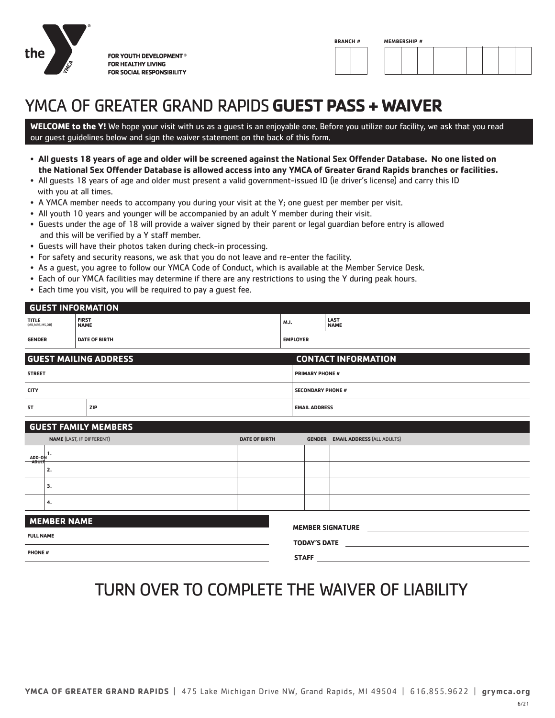

FOR YOUTH DEVELOPMENT® **FOR HEALTHY LIVING FOR SOCIAL RESPONSIBILITY** 



# YMCA OF GREATER GRAND RAPIDS **GUEST PASS + WAIVER**

**WELCOME to the Y!** We hope your visit with us as a guest is an enjoyable one. Before you utilize our facility, we ask that you read our guest guidelines below and sign the waiver statement on the back of this form.

- **All guests 18 years of age and older will be screened against the National Sex Offender Database. No one listed on the National Sex Offender Database is allowed access into any YMCA of Greater Grand Rapids branches or facilities.**
- All guests 18 years of age and older must present a valid government-issued ID (ie driver's license) and carry this ID with you at all times.
- A YMCA member needs to accompany you during your visit at the Y; one guest per member per visit.
- All youth 10 years and younger will be accompanied by an adult Y member during their visit.
- Guests under the age of 18 will provide a waiver signed by their parent or legal guardian before entry is allowed and this will be verified by a Y staff member.
- Guests will have their photos taken during check-in processing.
- For safety and security reasons, we ask that you do not leave and re-enter the facility.
- As a guest, you agree to follow our YMCA Code of Conduct, which is available at the Member Service Desk.
- Each of our YMCA facilities may determine if there are any restrictions to using the Y during peak hours.
- Each time you visit, you will be required to pay a guest fee.

| <b>GENDER</b>              | <b>DATE OF BIRTH</b>        | <b>EMPLOYER</b> |                     |  |  |
|----------------------------|-----------------------------|-----------------|---------------------|--|--|
| TITLE<br>(MR, MRS, MS, DR) | <b>FIRST</b><br><b>NAME</b> | M.I.            | LAST<br><b>NAME</b> |  |  |
| <b>GUEST INFORMATION</b>   |                             |                 |                     |  |  |

| <b>GUEST MAILING ADDRESS</b> |            | <b>CONTACT INFORMATION</b> |  |  |
|------------------------------|------------|----------------------------|--|--|
| <b>STREET</b>                |            | <b>PRIMARY PHONE #</b>     |  |  |
| <b>CITY</b>                  |            | <b>SECONDARY PHONE #</b>   |  |  |
| <b>ST</b>                    | <b>ZIP</b> | <b>EMAIL ADDRESS</b>       |  |  |

| <b>GUEST FAMILY MEMBERS</b>                   |    |                      |                     |                                          |  |  |  |
|-----------------------------------------------|----|----------------------|---------------------|------------------------------------------|--|--|--|
| NAME (LAST, IF DIFFERENT)                     |    | <b>DATE OF BIRTH</b> |                     | <b>GENDER EMAIL ADDRESS (ALL ADULTS)</b> |  |  |  |
| ADD-ON<br>ADULT                               |    |                      |                     |                                          |  |  |  |
|                                               | 2. |                      |                     |                                          |  |  |  |
|                                               | з. |                      |                     |                                          |  |  |  |
|                                               | 4. |                      |                     |                                          |  |  |  |
| <b>MEMBER NAME</b><br><b>MEMBER SIGNATURE</b> |    |                      |                     |                                          |  |  |  |
| <b>FULL NAME</b>                              |    |                      | <b>TODAY'S DATE</b> |                                          |  |  |  |
| <b>PHONE#</b>                                 |    |                      |                     |                                          |  |  |  |

### TURN OVER TO COMPLETE THE WAIVER OF LIABILITY

**STAFF**